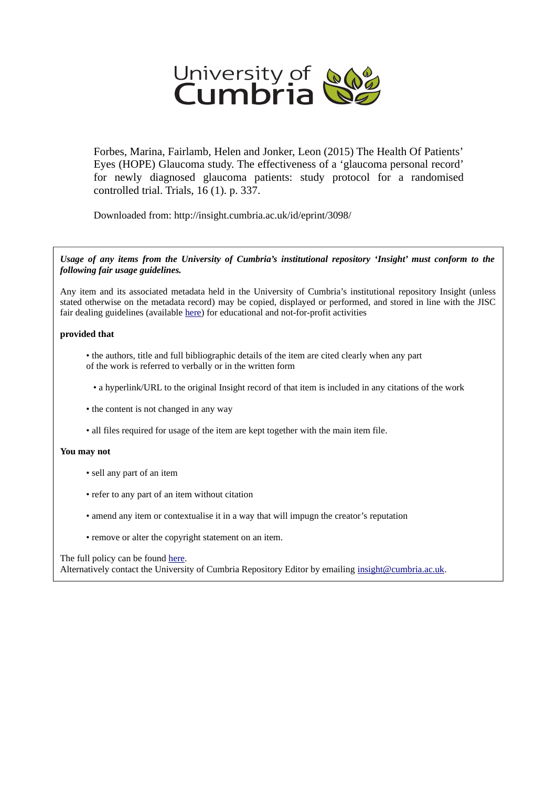

Forbes, Marina, Fairlamb, Helen and Jonker, Leon (2015) The Health Of Patients' Eyes (HOPE) Glaucoma study. The effectiveness of a 'glaucoma personal record' for newly diagnosed glaucoma patients: study protocol for a randomised controlled trial. Trials, 16 (1). p. 337.

Downloaded from: http://insight.cumbria.ac.uk/id/eprint/3098/

*Usage of any items from the University of Cumbria's institutional repository 'Insight' must conform to the following fair usage guidelines.*

Any item and its associated metadata held in the University of Cumbria's institutional repository Insight (unless stated otherwise on the metadata record) may be copied, displayed or performed, and stored in line with the JISC fair dealing guidelines (available [here\)](http://www.ukoln.ac.uk/services/elib/papers/pa/fair/) for educational and not-for-profit activities

# **provided that**

• the authors, title and full bibliographic details of the item are cited clearly when any part of the work is referred to verbally or in the written form

• a hyperlink/URL to the original Insight record of that item is included in any citations of the work

- the content is not changed in any way
- all files required for usage of the item are kept together with the main item file.

# **You may not**

- sell any part of an item
- refer to any part of an item without citation
- amend any item or contextualise it in a way that will impugn the creator's reputation
- remove or alter the copyright statement on an item.

# The full policy can be found [here.](http://insight.cumbria.ac.uk/legal.html#section5)

Alternatively contact the University of Cumbria Repository Editor by emailing [insight@cumbria.ac.uk.](mailto:insight@cumbria.ac.uk)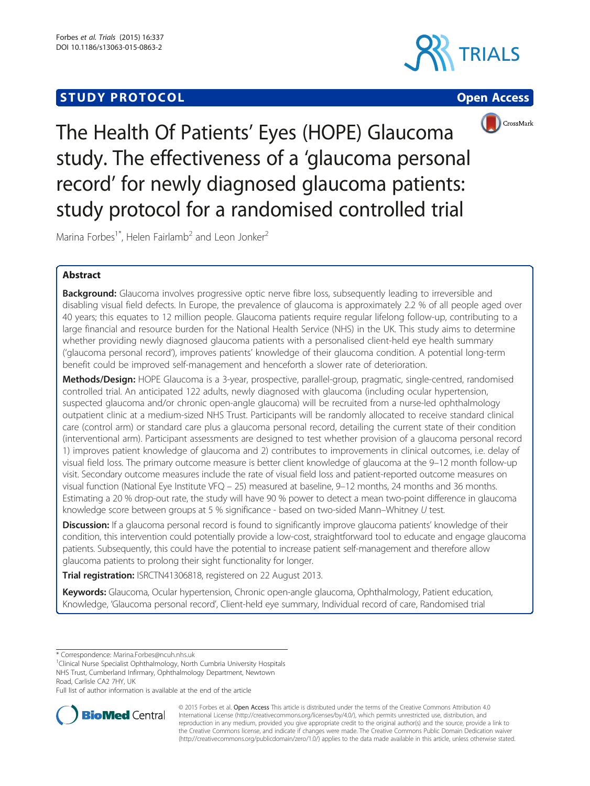# **STUDY PROTOCOL CONSUMING THE CONSUMING OPEN ACCESS**







The Health Of Patients' Eyes (HOPE) Glaucoma study. The effectiveness of a 'glaucoma personal record' for newly diagnosed glaucoma patients: study protocol for a randomised controlled trial

Marina Forbes<sup>1\*</sup>, Helen Fairlamb<sup>2</sup> and Leon Jonker<sup>2</sup>

# Abstract

**Background:** Glaucoma involves progressive optic nerve fibre loss, subsequently leading to irreversible and disabling visual field defects. In Europe, the prevalence of glaucoma is approximately 2.2 % of all people aged over 40 years; this equates to 12 million people. Glaucoma patients require regular lifelong follow-up, contributing to a large financial and resource burden for the National Health Service (NHS) in the UK. This study aims to determine whether providing newly diagnosed glaucoma patients with a personalised client-held eye health summary ('glaucoma personal record'), improves patients' knowledge of their glaucoma condition. A potential long-term benefit could be improved self-management and henceforth a slower rate of deterioration.

Methods/Design: HOPE Glaucoma is a 3-year, prospective, parallel-group, pragmatic, single-centred, randomised controlled trial. An anticipated 122 adults, newly diagnosed with glaucoma (including ocular hypertension, suspected glaucoma and/or chronic open-angle glaucoma) will be recruited from a nurse-led ophthalmology outpatient clinic at a medium-sized NHS Trust. Participants will be randomly allocated to receive standard clinical care (control arm) or standard care plus a glaucoma personal record, detailing the current state of their condition (interventional arm). Participant assessments are designed to test whether provision of a glaucoma personal record 1) improves patient knowledge of glaucoma and 2) contributes to improvements in clinical outcomes, i.e. delay of visual field loss. The primary outcome measure is better client knowledge of glaucoma at the 9–12 month follow-up visit. Secondary outcome measures include the rate of visual field loss and patient-reported outcome measures on visual function (National Eye Institute VFQ – 25) measured at baseline, 9–12 months, 24 months and 36 months. Estimating a 20 % drop-out rate, the study will have 90 % power to detect a mean two-point difference in glaucoma knowledge score between groups at 5 % significance - based on two-sided Mann–Whitney U test.

Discussion: If a glaucoma personal record is found to significantly improve glaucoma patients' knowledge of their condition, this intervention could potentially provide a low-cost, straightforward tool to educate and engage glaucoma patients. Subsequently, this could have the potential to increase patient self-management and therefore allow glaucoma patients to prolong their sight functionality for longer.

Trial registration: [ISRCTN41306818,](http://www.controlled-trials.com/ISRCTN41306818) registered on 22 August 2013.

Keywords: Glaucoma, Ocular hypertension, Chronic open-angle glaucoma, Ophthalmology, Patient education, Knowledge, 'Glaucoma personal record', Client-held eye summary, Individual record of care, Randomised trial

\* Correspondence: [Marina.Forbes@ncuh.nhs.uk](mailto:Marina.Forbes@ncuh.nhs.uk) <sup>1</sup>

<sup>1</sup>Clinical Nurse Specialist Ophthalmology, North Cumbria University Hospitals NHS Trust, Cumberland Infirmary, Ophthalmology Department, Newtown Road, Carlisle CA2 7HY, UK

Full list of author information is available at the end of the article



© 2015 Forbes et al. Open Access This article is distributed under the terms of the Creative Commons Attribution 4.0 International License [\(http://creativecommons.org/licenses/by/4.0/](http://creativecommons.org/licenses/by/4.0/)), which permits unrestricted use, distribution, and reproduction in any medium, provided you give appropriate credit to the original author(s) and the source, provide a link to the Creative Commons license, and indicate if changes were made. The Creative Commons Public Domain Dedication waiver [\(http://creativecommons.org/publicdomain/zero/1.0/](http://creativecommons.org/publicdomain/zero/1.0/)) applies to the data made available in this article, unless otherwise stated.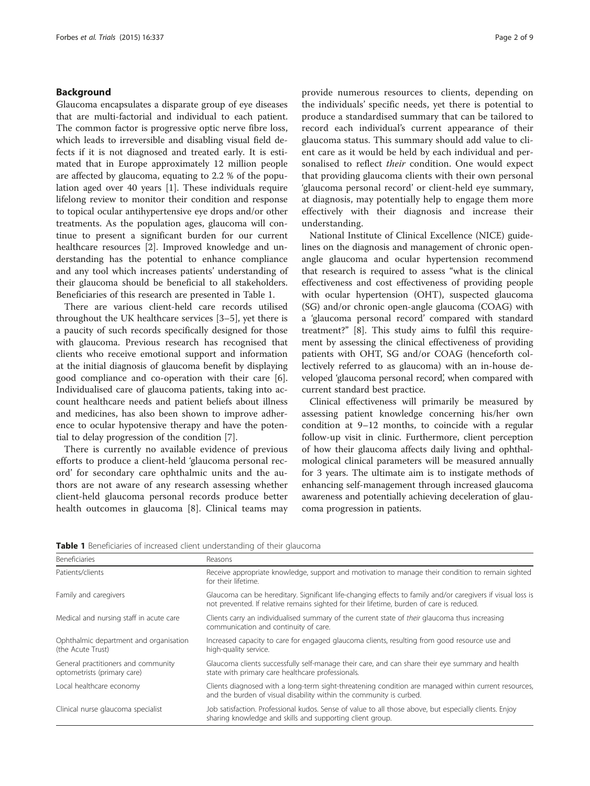## Background

Glaucoma encapsulates a disparate group of eye diseases that are multi-factorial and individual to each patient. The common factor is progressive optic nerve fibre loss, which leads to irreversible and disabling visual field defects if it is not diagnosed and treated early. It is estimated that in Europe approximately 12 million people are affected by glaucoma, equating to 2.2 % of the population aged over 40 years [\[1](#page-8-0)]. These individuals require lifelong review to monitor their condition and response to topical ocular antihypertensive eye drops and/or other treatments. As the population ages, glaucoma will continue to present a significant burden for our current healthcare resources [[2](#page-8-0)]. Improved knowledge and understanding has the potential to enhance compliance and any tool which increases patients' understanding of their glaucoma should be beneficial to all stakeholders. Beneficiaries of this research are presented in Table 1.

There are various client-held care records utilised throughout the UK healthcare services [\[3](#page-8-0)–[5](#page-8-0)], yet there is a paucity of such records specifically designed for those with glaucoma. Previous research has recognised that clients who receive emotional support and information at the initial diagnosis of glaucoma benefit by displaying good compliance and co-operation with their care [\[6](#page-8-0)]. Individualised care of glaucoma patients, taking into account healthcare needs and patient beliefs about illness and medicines, has also been shown to improve adherence to ocular hypotensive therapy and have the potential to delay progression of the condition [[7\]](#page-8-0).

There is currently no available evidence of previous efforts to produce a client-held 'glaucoma personal record' for secondary care ophthalmic units and the authors are not aware of any research assessing whether client-held glaucoma personal records produce better health outcomes in glaucoma [[8\]](#page-8-0). Clinical teams may

provide numerous resources to clients, depending on the individuals' specific needs, yet there is potential to produce a standardised summary that can be tailored to record each individual's current appearance of their glaucoma status. This summary should add value to client care as it would be held by each individual and personalised to reflect their condition. One would expect that providing glaucoma clients with their own personal 'glaucoma personal record' or client-held eye summary, at diagnosis, may potentially help to engage them more effectively with their diagnosis and increase their understanding.

National Institute of Clinical Excellence (NICE) guidelines on the diagnosis and management of chronic openangle glaucoma and ocular hypertension recommend that research is required to assess "what is the clinical effectiveness and cost effectiveness of providing people with ocular hypertension (OHT), suspected glaucoma (SG) and/or chronic open-angle glaucoma (COAG) with a 'glaucoma personal record' compared with standard treatment?" [\[8](#page-8-0)]. This study aims to fulfil this requirement by assessing the clinical effectiveness of providing patients with OHT, SG and/or COAG (henceforth collectively referred to as glaucoma) with an in-house developed 'glaucoma personal record', when compared with current standard best practice.

Clinical effectiveness will primarily be measured by assessing patient knowledge concerning his/her own condition at 9–12 months, to coincide with a regular follow-up visit in clinic. Furthermore, client perception of how their glaucoma affects daily living and ophthalmological clinical parameters will be measured annually for 3 years. The ultimate aim is to instigate methods of enhancing self-management through increased glaucoma awareness and potentially achieving deceleration of glaucoma progression in patients.

|  |  |  |  | <b>Table 1</b> Beneficiaries of increased client understanding of their glaucoma |  |  |
|--|--|--|--|----------------------------------------------------------------------------------|--|--|
|--|--|--|--|----------------------------------------------------------------------------------|--|--|

| <b>Beneficiaries</b>                                               | Reasons<br>Receive appropriate knowledge, support and motivation to manage their condition to remain sighted<br>for their lifetime.                                                                      |  |  |  |
|--------------------------------------------------------------------|----------------------------------------------------------------------------------------------------------------------------------------------------------------------------------------------------------|--|--|--|
| Patients/clients                                                   |                                                                                                                                                                                                          |  |  |  |
| Family and caregivers                                              | Glaucoma can be hereditary. Significant life-changing effects to family and/or caregivers if visual loss is<br>not prevented. If relative remains sighted for their lifetime, burden of care is reduced. |  |  |  |
| Medical and nursing staff in acute care                            | Clients carry an individualised summary of the current state of their glaucoma thus increasing<br>communication and continuity of care.                                                                  |  |  |  |
| Ophthalmic department and organisation<br>(the Acute Trust)        | Increased capacity to care for engaged glaucoma clients, resulting from good resource use and<br>high-quality service.                                                                                   |  |  |  |
| General practitioners and community<br>optometrists (primary care) | Glaucoma clients successfully self-manage their care, and can share their eye summary and health<br>state with primary care healthcare professionals.                                                    |  |  |  |
| Local healthcare economy                                           | Clients diagnosed with a long-term sight-threatening condition are managed within current resources,<br>and the burden of visual disability within the community is curbed.                              |  |  |  |
| Clinical nurse glaucoma specialist                                 | Job satisfaction. Professional kudos. Sense of value to all those above, but especially clients. Enjoy<br>sharing knowledge and skills and supporting client group.                                      |  |  |  |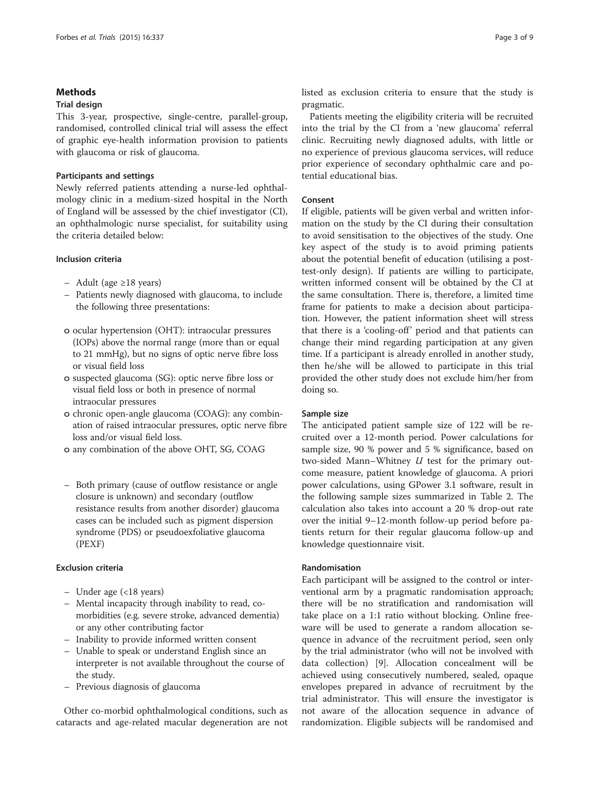## **Methods**

## Trial design

This 3-year, prospective, single-centre, parallel-group, randomised, controlled clinical trial will assess the effect of graphic eye-health information provision to patients with glaucoma or risk of glaucoma.

## Participants and settings

Newly referred patients attending a nurse-led ophthalmology clinic in a medium-sized hospital in the North of England will be assessed by the chief investigator (CI), an ophthalmologic nurse specialist, for suitability using the criteria detailed below:

### Inclusion criteria

- Adult (age ≥18 years)
- Patients newly diagnosed with glaucoma, to include the following three presentations:
- o ocular hypertension (OHT): intraocular pressures (IOPs) above the normal range (more than or equal to 21 mmHg), but no signs of optic nerve fibre loss or visual field loss
- o suspected glaucoma (SG): optic nerve fibre loss or visual field loss or both in presence of normal intraocular pressures
- o chronic open-angle glaucoma (COAG): any combination of raised intraocular pressures, optic nerve fibre loss and/or visual field loss.
- o any combination of the above OHT, SG, COAG
- Both primary (cause of outflow resistance or angle closure is unknown) and secondary (outflow resistance results from another disorder) glaucoma cases can be included such as pigment dispersion syndrome (PDS) or pseudoexfoliative glaucoma (PEXF)

## Exclusion criteria

- Under age (<18 years)
- Mental incapacity through inability to read, comorbidities (e.g. severe stroke, advanced dementia) or any other contributing factor
- Inability to provide informed written consent
- Unable to speak or understand English since an interpreter is not available throughout the course of the study.
- Previous diagnosis of glaucoma

Other co-morbid ophthalmological conditions, such as cataracts and age-related macular degeneration are not listed as exclusion criteria to ensure that the study is pragmatic.

Patients meeting the eligibility criteria will be recruited into the trial by the CI from a 'new glaucoma' referral clinic. Recruiting newly diagnosed adults, with little or no experience of previous glaucoma services, will reduce prior experience of secondary ophthalmic care and potential educational bias.

## Consent

If eligible, patients will be given verbal and written information on the study by the CI during their consultation to avoid sensitisation to the objectives of the study. One key aspect of the study is to avoid priming patients about the potential benefit of education (utilising a posttest-only design). If patients are willing to participate, written informed consent will be obtained by the CI at the same consultation. There is, therefore, a limited time frame for patients to make a decision about participation. However, the patient information sheet will stress that there is a 'cooling-off' period and that patients can change their mind regarding participation at any given time. If a participant is already enrolled in another study, then he/she will be allowed to participate in this trial provided the other study does not exclude him/her from doing so.

## Sample size

The anticipated patient sample size of 122 will be recruited over a 12-month period. Power calculations for sample size, 90 % power and 5 % significance, based on two-sided Mann–Whitney  $U$  test for the primary outcome measure, patient knowledge of glaucoma. A priori power calculations, using GPower 3.1 software, result in the following sample sizes summarized in Table [2](#page-4-0). The calculation also takes into account a 20 % drop-out rate over the initial 9–12-month follow-up period before patients return for their regular glaucoma follow-up and knowledge questionnaire visit.

## Randomisation

Each participant will be assigned to the control or interventional arm by a pragmatic randomisation approach; there will be no stratification and randomisation will take place on a 1:1 ratio without blocking. Online freeware will be used to generate a random allocation sequence in advance of the recruitment period, seen only by the trial administrator (who will not be involved with data collection) [\[9](#page-8-0)]. Allocation concealment will be achieved using consecutively numbered, sealed, opaque envelopes prepared in advance of recruitment by the trial administrator. This will ensure the investigator is not aware of the allocation sequence in advance of randomization. Eligible subjects will be randomised and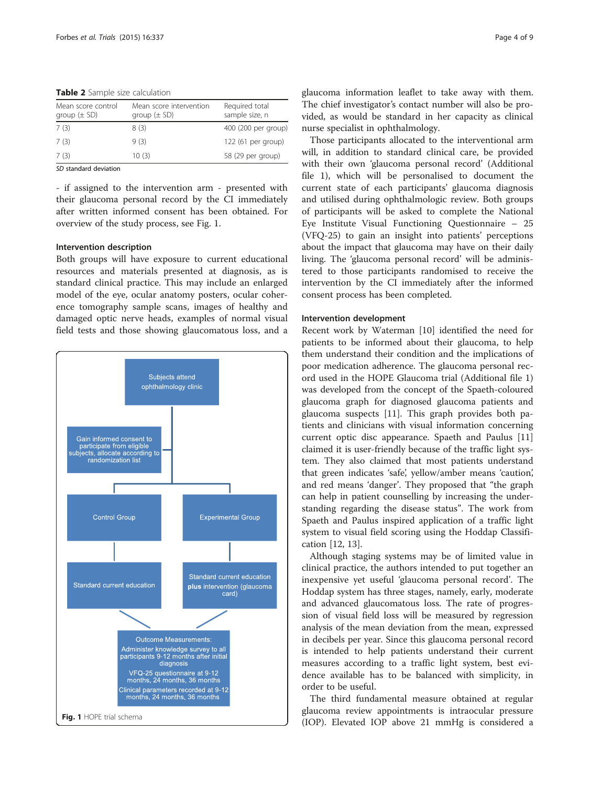<span id="page-4-0"></span>Table 2 Sample size calculation

| Mean score control<br>group $(\pm$ SD) | Mean score intervention<br>group $(\pm SD)$ | Required total<br>sample size, n |
|----------------------------------------|---------------------------------------------|----------------------------------|
| 7(3)                                   | 8(3)                                        | 400 (200 per group)              |
| 7 (3)                                  | 9(3)                                        | 122 (61 per group)               |
| 7(3)                                   | 10(3)                                       | 58 (29 per group)                |

SD standard deviation

- if assigned to the intervention arm - presented with their glaucoma personal record by the CI immediately after written informed consent has been obtained. For overview of the study process, see Fig. 1.

#### Intervention description

Both groups will have exposure to current educational resources and materials presented at diagnosis, as is standard clinical practice. This may include an enlarged model of the eye, ocular anatomy posters, ocular coherence tomography sample scans, images of healthy and damaged optic nerve heads, examples of normal visual field tests and those showing glaucomatous loss, and a



glaucoma information leaflet to take away with them. The chief investigator's contact number will also be provided, as would be standard in her capacity as clinical nurse specialist in ophthalmology.

Those participants allocated to the interventional arm will, in addition to standard clinical care, be provided with their own 'glaucoma personal record' (Additional file [1](#page-8-0)), which will be personalised to document the current state of each participants' glaucoma diagnosis and utilised during ophthalmologic review. Both groups of participants will be asked to complete the National Eye Institute Visual Functioning Questionnaire – 25 (VFQ-25) to gain an insight into patients' perceptions about the impact that glaucoma may have on their daily living. The 'glaucoma personal record' will be administered to those participants randomised to receive the intervention by the CI immediately after the informed consent process has been completed.

#### Intervention development

Recent work by Waterman [\[10](#page-8-0)] identified the need for patients to be informed about their glaucoma, to help them understand their condition and the implications of poor medication adherence. The glaucoma personal record used in the HOPE Glaucoma trial (Additional file [1](#page-8-0)) was developed from the concept of the Spaeth-coloured glaucoma graph for diagnosed glaucoma patients and glaucoma suspects [[11\]](#page-8-0). This graph provides both patients and clinicians with visual information concerning current optic disc appearance. Spaeth and Paulus [[11](#page-8-0)] claimed it is user-friendly because of the traffic light system. They also claimed that most patients understand that green indicates 'safe', yellow/amber means 'caution', and red means 'danger'. They proposed that "the graph can help in patient counselling by increasing the understanding regarding the disease status". The work from Spaeth and Paulus inspired application of a traffic light system to visual field scoring using the Hoddap Classification [[12,](#page-8-0) [13\]](#page-9-0).

Although staging systems may be of limited value in clinical practice, the authors intended to put together an inexpensive yet useful 'glaucoma personal record'. The Hoddap system has three stages, namely, early, moderate and advanced glaucomatous loss. The rate of progression of visual field loss will be measured by regression analysis of the mean deviation from the mean, expressed in decibels per year. Since this glaucoma personal record is intended to help patients understand their current measures according to a traffic light system, best evidence available has to be balanced with simplicity, in order to be useful.

The third fundamental measure obtained at regular glaucoma review appointments is intraocular pressure (IOP). Elevated IOP above 21 mmHg is considered a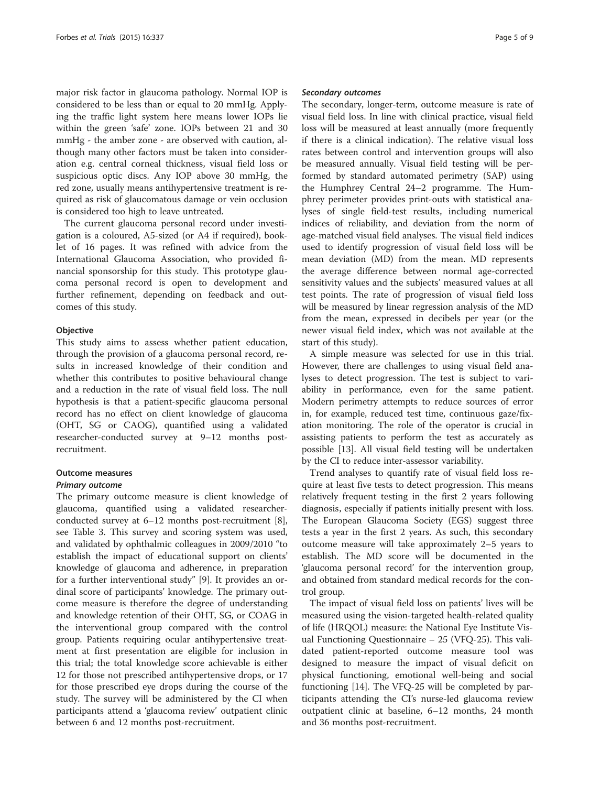major risk factor in glaucoma pathology. Normal IOP is considered to be less than or equal to 20 mmHg. Applying the traffic light system here means lower IOPs lie within the green 'safe' zone. IOPs between 21 and 30 mmHg - the amber zone - are observed with caution, although many other factors must be taken into consideration e.g. central corneal thickness, visual field loss or suspicious optic discs. Any IOP above 30 mmHg, the red zone, usually means antihypertensive treatment is required as risk of glaucomatous damage or vein occlusion is considered too high to leave untreated.

The current glaucoma personal record under investigation is a coloured, A5-sized (or A4 if required), booklet of 16 pages. It was refined with advice from the International Glaucoma Association, who provided financial sponsorship for this study. This prototype glaucoma personal record is open to development and further refinement, depending on feedback and outcomes of this study.

#### **Objective**

This study aims to assess whether patient education, through the provision of a glaucoma personal record, results in increased knowledge of their condition and whether this contributes to positive behavioural change and a reduction in the rate of visual field loss. The null hypothesis is that a patient-specific glaucoma personal record has no effect on client knowledge of glaucoma (OHT, SG or CAOG), quantified using a validated researcher-conducted survey at 9–12 months postrecruitment.

# Outcome measures

## Primary outcome

The primary outcome measure is client knowledge of glaucoma, quantified using a validated researcherconducted survey at 6–12 months post-recruitment [\[8](#page-8-0)], see Table [3.](#page-7-0) This survey and scoring system was used, and validated by ophthalmic colleagues in 2009/2010 "to establish the impact of educational support on clients' knowledge of glaucoma and adherence, in preparation for a further interventional study" [[9\]](#page-8-0). It provides an ordinal score of participants' knowledge. The primary outcome measure is therefore the degree of understanding and knowledge retention of their OHT, SG, or COAG in the interventional group compared with the control group. Patients requiring ocular antihypertensive treatment at first presentation are eligible for inclusion in this trial; the total knowledge score achievable is either 12 for those not prescribed antihypertensive drops, or 17 for those prescribed eye drops during the course of the study. The survey will be administered by the CI when participants attend a 'glaucoma review' outpatient clinic between 6 and 12 months post-recruitment.

#### Secondary outcomes

The secondary, longer-term, outcome measure is rate of visual field loss. In line with clinical practice, visual field loss will be measured at least annually (more frequently if there is a clinical indication). The relative visual loss rates between control and intervention groups will also be measured annually. Visual field testing will be performed by standard automated perimetry (SAP) using the Humphrey Central 24–2 programme. The Humphrey perimeter provides print-outs with statistical analyses of single field-test results, including numerical indices of reliability, and deviation from the norm of age-matched visual field analyses. The visual field indices used to identify progression of visual field loss will be mean deviation (MD) from the mean. MD represents the average difference between normal age-corrected sensitivity values and the subjects' measured values at all test points. The rate of progression of visual field loss will be measured by linear regression analysis of the MD from the mean, expressed in decibels per year (or the newer visual field index, which was not available at the start of this study).

A simple measure was selected for use in this trial. However, there are challenges to using visual field analyses to detect progression. The test is subject to variability in performance, even for the same patient. Modern perimetry attempts to reduce sources of error in, for example, reduced test time, continuous gaze/fixation monitoring. The role of the operator is crucial in assisting patients to perform the test as accurately as possible [[13](#page-9-0)]. All visual field testing will be undertaken by the CI to reduce inter-assessor variability.

Trend analyses to quantify rate of visual field loss require at least five tests to detect progression. This means relatively frequent testing in the first 2 years following diagnosis, especially if patients initially present with loss. The European Glaucoma Society (EGS) suggest three tests a year in the first 2 years. As such, this secondary outcome measure will take approximately 2–5 years to establish. The MD score will be documented in the 'glaucoma personal record' for the intervention group, and obtained from standard medical records for the control group.

The impact of visual field loss on patients' lives will be measured using the vision-targeted health-related quality of life (HRQOL) measure: the National Eye Institute Visual Functioning Questionnaire – 25 (VFQ-25). This validated patient-reported outcome measure tool was designed to measure the impact of visual deficit on physical functioning, emotional well-being and social functioning [\[14](#page-9-0)]. The VFQ-25 will be completed by participants attending the CI's nurse-led glaucoma review outpatient clinic at baseline, 6–12 months, 24 month and 36 months post-recruitment.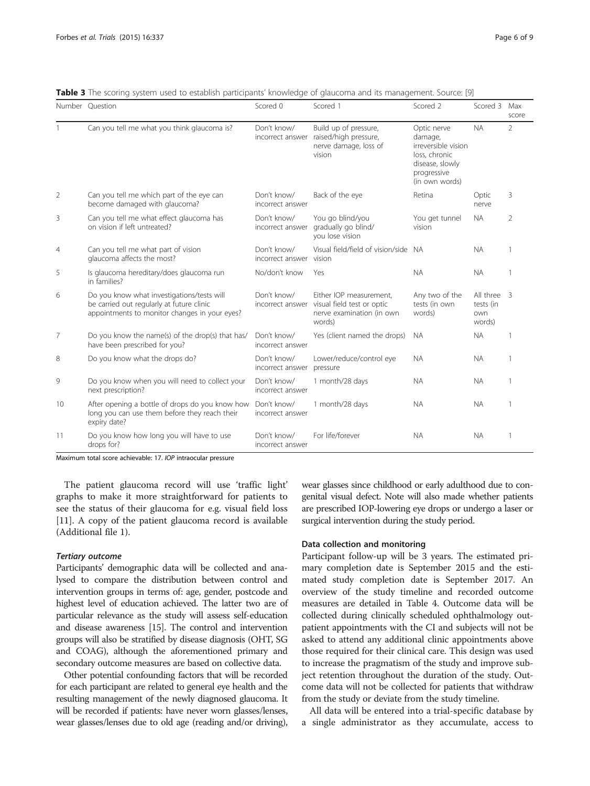|                | Number Question                                                                                                                          | Scored 0                        | Scored 1                                                                                     | Scored 2                                                                                                           | Scored 3                                  | Max<br>score   |
|----------------|------------------------------------------------------------------------------------------------------------------------------------------|---------------------------------|----------------------------------------------------------------------------------------------|--------------------------------------------------------------------------------------------------------------------|-------------------------------------------|----------------|
|                | Can you tell me what you think glaucoma is?                                                                                              | Don't know/<br>incorrect answer | Build up of pressure,<br>raised/high pressure,<br>nerve damage, loss of<br>vision            | Optic nerve<br>damage,<br>irreversible vision<br>loss, chronic<br>disease, slowly<br>progressive<br>(in own words) | <b>NA</b>                                 | $\overline{2}$ |
| 2              | Can you tell me which part of the eye can<br>become damaged with glaucoma?                                                               | Don't know/<br>incorrect answer | Back of the eye                                                                              | Retina                                                                                                             | Optic<br>nerve                            | 3              |
| 3              | Can you tell me what effect glaucoma has<br>on vision if left untreated?                                                                 | Don't know/<br>incorrect answer | You go blind/you<br>gradually go blind/<br>you lose vision                                   | You get tunnel<br>vision                                                                                           | <b>NA</b>                                 | 2              |
| 4              | Can you tell me what part of vision<br>glaucoma affects the most?                                                                        | Don't know/<br>incorrect answer | Visual field/field of vision/side NA<br>vision                                               |                                                                                                                    | <b>NA</b>                                 |                |
| 5              | Is glaucoma hereditary/does glaucoma run<br>in families?                                                                                 | No/don't know                   | Yes                                                                                          | <b>NA</b>                                                                                                          | <b>NA</b>                                 |                |
| 6              | Do you know what investigations/tests will<br>be carried out regularly at future clinic<br>appointments to monitor changes in your eyes? | Don't know/<br>incorrect answer | Either IOP measurement,<br>visual field test or optic<br>nerve examination (in own<br>words) | Any two of the<br>tests (in own<br>words)                                                                          | All three 3<br>tests (in<br>own<br>words) |                |
| $\overline{7}$ | Do you know the name(s) of the drop(s) that has/<br>have been prescribed for you?                                                        | Don't know/<br>incorrect answer | Yes (client named the drops)                                                                 | <b>NA</b>                                                                                                          | <b>NA</b>                                 |                |
| 8              | Do you know what the drops do?                                                                                                           | Don't know/<br>incorrect answer | Lower/reduce/control eye<br>pressure                                                         | <b>NA</b>                                                                                                          | <b>NA</b>                                 |                |
| 9              | Do you know when you will need to collect your<br>next prescription?                                                                     | Don't know/<br>incorrect answer | 1 month/28 days                                                                              | <b>NA</b>                                                                                                          | <b>NA</b>                                 |                |
| 10             | After opening a bottle of drops do you know how<br>long you can use them before they reach their<br>expiry date?                         | Don't know/<br>incorrect answer | 1 month/28 days                                                                              | <b>NA</b>                                                                                                          | <b>NA</b>                                 |                |
| 11             | Do you know how long you will have to use<br>drops for?                                                                                  | Don't know/<br>incorrect answer | For life/forever                                                                             | <b>NA</b>                                                                                                          | <b>NA</b>                                 |                |

Table 3 The scoring system used to establish participants' knowledge of glaucoma and its management. Source: [\[9](#page-8-0)]

Maximum total score achievable: 17. IOP intraocular pressure

The patient glaucoma record will use 'traffic light' graphs to make it more straightforward for patients to see the status of their glaucoma for e.g. visual field loss [[11\]](#page-8-0). A copy of the patient glaucoma record is available (Additional file [1](#page-8-0)).

## Tertiary outcome

Participants' demographic data will be collected and analysed to compare the distribution between control and intervention groups in terms of: age, gender, postcode and highest level of education achieved. The latter two are of particular relevance as the study will assess self-education and disease awareness [\[15\]](#page-9-0). The control and intervention groups will also be stratified by disease diagnosis (OHT, SG and COAG), although the aforementioned primary and secondary outcome measures are based on collective data.

Other potential confounding factors that will be recorded for each participant are related to general eye health and the resulting management of the newly diagnosed glaucoma. It will be recorded if patients: have never worn glasses/lenses, wear glasses/lenses due to old age (reading and/or driving), wear glasses since childhood or early adulthood due to congenital visual defect. Note will also made whether patients are prescribed IOP-lowering eye drops or undergo a laser or surgical intervention during the study period.

## Data collection and monitoring

Participant follow-up will be 3 years. The estimated primary completion date is September 2015 and the estimated study completion date is September 2017. An overview of the study timeline and recorded outcome measures are detailed in Table 4. Outcome data will be collected during clinically scheduled ophthalmology outpatient appointments with the CI and subjects will not be asked to attend any additional clinic appointments above those required for their clinical care. This design was used to increase the pragmatism of the study and improve subject retention throughout the duration of the study. Outcome data will not be collected for patients that withdraw from the study or deviate from the study timeline.

All data will be entered into a trial-specific database by a single administrator as they accumulate, access to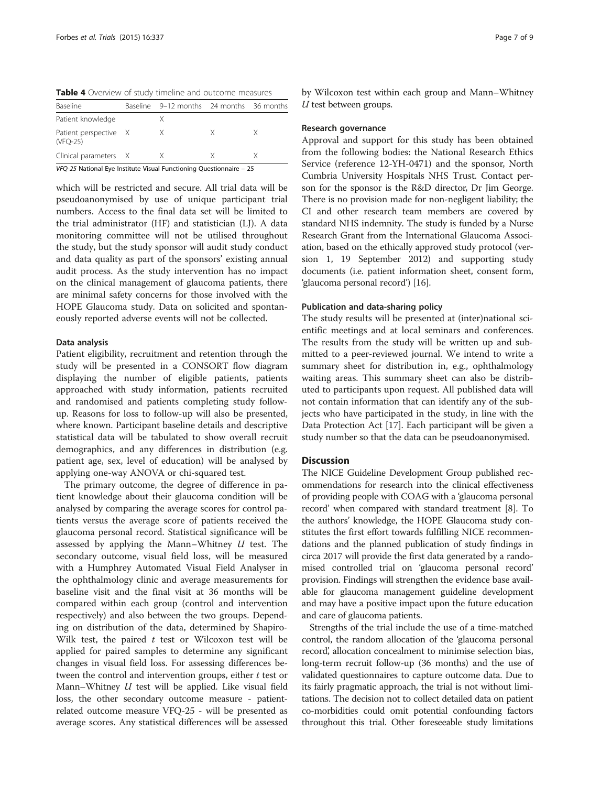<span id="page-7-0"></span>Table 4 Overview of study timeline and outcome measures

| Baseline                          | Baseline 9–12 months 24 months 36 months |    |  |
|-----------------------------------|------------------------------------------|----|--|
| Patient knowledge                 |                                          |    |  |
| Patient perspective X<br>(VFO-25) | X                                        | X. |  |
| Clinical parameters X             |                                          |    |  |

VFQ-25 National Eye Institute Visual Functioning Questionnaire – 25

which will be restricted and secure. All trial data will be pseudoanonymised by use of unique participant trial numbers. Access to the final data set will be limited to the trial administrator (HF) and statistician (LJ). A data monitoring committee will not be utilised throughout the study, but the study sponsor will audit study conduct and data quality as part of the sponsors' existing annual audit process. As the study intervention has no impact on the clinical management of glaucoma patients, there are minimal safety concerns for those involved with the HOPE Glaucoma study. Data on solicited and spontaneously reported adverse events will not be collected.

#### Data analysis

Patient eligibility, recruitment and retention through the study will be presented in a CONSORT flow diagram displaying the number of eligible patients, patients approached with study information, patients recruited and randomised and patients completing study followup. Reasons for loss to follow-up will also be presented, where known. Participant baseline details and descriptive statistical data will be tabulated to show overall recruit demographics, and any differences in distribution (e.g. patient age, sex, level of education) will be analysed by applying one-way ANOVA or chi-squared test.

The primary outcome, the degree of difference in patient knowledge about their glaucoma condition will be analysed by comparing the average scores for control patients versus the average score of patients received the glaucoma personal record. Statistical significance will be assessed by applying the Mann–Whitney  $U$  test. The secondary outcome, visual field loss, will be measured with a Humphrey Automated Visual Field Analyser in the ophthalmology clinic and average measurements for baseline visit and the final visit at 36 months will be compared within each group (control and intervention respectively) and also between the two groups. Depending on distribution of the data, determined by Shapiro-Wilk test, the paired  $t$  test or Wilcoxon test will be applied for paired samples to determine any significant changes in visual field loss. For assessing differences between the control and intervention groups, either *t* test or Mann–Whitney  $U$  test will be applied. Like visual field loss, the other secondary outcome measure - patientrelated outcome measure VFQ-25 - will be presented as average scores. Any statistical differences will be assessed by Wilcoxon test within each group and Mann–Whitney  $U$  test between groups.

#### Research governance

Approval and support for this study has been obtained from the following bodies: the National Research Ethics Service (reference 12-YH-0471) and the sponsor, North Cumbria University Hospitals NHS Trust. Contact person for the sponsor is the R&D director, Dr Jim George. There is no provision made for non-negligent liability; the CI and other research team members are covered by standard NHS indemnity. The study is funded by a Nurse Research Grant from the International Glaucoma Association, based on the ethically approved study protocol (version 1, 19 September 2012) and supporting study documents (i.e. patient information sheet, consent form, 'glaucoma personal record') [\[16\]](#page-9-0).

#### Publication and data-sharing policy

The study results will be presented at (inter)national scientific meetings and at local seminars and conferences. The results from the study will be written up and submitted to a peer-reviewed journal. We intend to write a summary sheet for distribution in, e.g., ophthalmology waiting areas. This summary sheet can also be distributed to participants upon request. All published data will not contain information that can identify any of the subjects who have participated in the study, in line with the Data Protection Act [\[17](#page-9-0)]. Each participant will be given a study number so that the data can be pseudoanonymised.

## **Discussion**

The NICE Guideline Development Group published recommendations for research into the clinical effectiveness of providing people with COAG with a 'glaucoma personal record' when compared with standard treatment [\[8\]](#page-8-0). To the authors' knowledge, the HOPE Glaucoma study constitutes the first effort towards fulfilling NICE recommendations and the planned publication of study findings in circa 2017 will provide the first data generated by a randomised controlled trial on 'glaucoma personal record' provision. Findings will strengthen the evidence base available for glaucoma management guideline development and may have a positive impact upon the future education and care of glaucoma patients.

Strengths of the trial include the use of a time-matched control, the random allocation of the 'glaucoma personal record', allocation concealment to minimise selection bias, long-term recruit follow-up (36 months) and the use of validated questionnaires to capture outcome data. Due to its fairly pragmatic approach, the trial is not without limitations. The decision not to collect detailed data on patient co-morbidities could omit potential confounding factors throughout this trial. Other foreseeable study limitations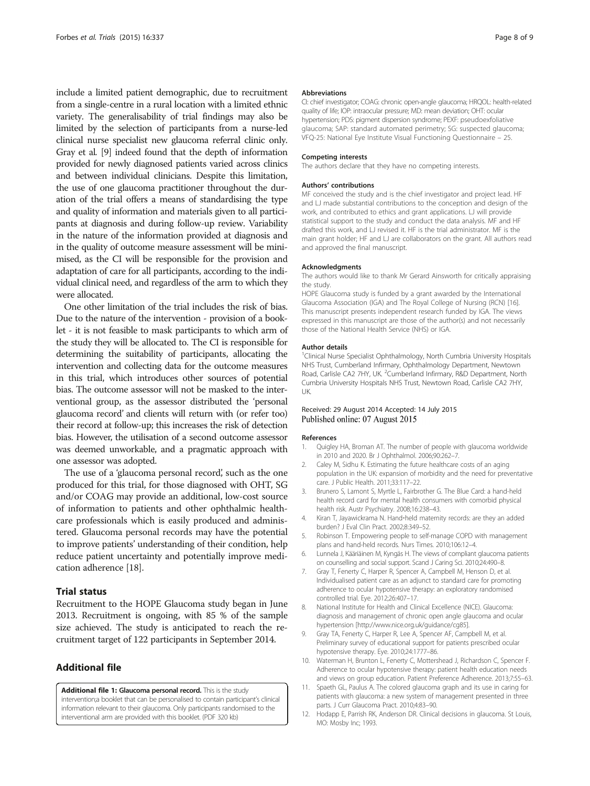<span id="page-8-0"></span>include a limited patient demographic, due to recruitment from a single-centre in a rural location with a limited ethnic variety. The generalisability of trial findings may also be limited by the selection of participants from a nurse-led clinical nurse specialist new glaucoma referral clinic only. Gray et al. [9] indeed found that the depth of information provided for newly diagnosed patients varied across clinics and between individual clinicians. Despite this limitation, the use of one glaucoma practitioner throughout the duration of the trial offers a means of standardising the type and quality of information and materials given to all participants at diagnosis and during follow-up review. Variability in the nature of the information provided at diagnosis and in the quality of outcome measure assessment will be minimised, as the CI will be responsible for the provision and adaptation of care for all participants, according to the individual clinical need, and regardless of the arm to which they were allocated.

One other limitation of the trial includes the risk of bias. Due to the nature of the intervention - provision of a booklet - it is not feasible to mask participants to which arm of the study they will be allocated to. The CI is responsible for determining the suitability of participants, allocating the intervention and collecting data for the outcome measures in this trial, which introduces other sources of potential bias. The outcome assessor will not be masked to the interventional group, as the assessor distributed the 'personal glaucoma record' and clients will return with (or refer too) their record at follow-up; this increases the risk of detection bias. However, the utilisation of a second outcome assessor was deemed unworkable, and a pragmatic approach with one assessor was adopted.

The use of a 'glaucoma personal record', such as the one produced for this trial, for those diagnosed with OHT, SG and/or COAG may provide an additional, low-cost source of information to patients and other ophthalmic healthcare professionals which is easily produced and administered. Glaucoma personal records may have the potential to improve patients' understanding of their condition, help reduce patient uncertainty and potentially improve medication adherence [\[18](#page-9-0)].

## Trial status

Recruitment to the HOPE Glaucoma study began in June 2013. Recruitment is ongoing, with 85 % of the sample size achieved. The study is anticipated to reach the recruitment target of 122 participants in September 2014.

## Additional file

[Additional file 1:](http://www.trialsjournal.com/content/supplementary/s13063-015-0863-2-s1.pdf) Glaucoma personal record. This is the study intervention;a booklet that can be personalised to contain participant's clinical information relevant to their glaucoma. Only participants randomised to the interventional arm are provided with this booklet. (PDF 320 kb)

#### Abbreviations

CI: chief investigator; COAG: chronic open-angle glaucoma; HRQOL: health-related quality of life; IOP: intraocular pressure; MD: mean deviation; OHT: ocular hypertension; PDS: pigment dispersion syndrome; PEXF: pseudoexfoliative glaucoma; SAP: standard automated perimetry; SG: suspected glaucoma; VFQ-25: National Eye Institute Visual Functioning Questionnaire – 25.

#### Competing interests

The authors declare that they have no competing interests.

#### Authors' contributions

MF conceived the study and is the chief investigator and project lead. HF and LJ made substantial contributions to the conception and design of the work, and contributed to ethics and grant applications. LJ will provide statistical support to the study and conduct the data analysis. MF and HF drafted this work, and LJ revised it. HF is the trial administrator. MF is the main grant holder; HF and LJ are collaborators on the grant. All authors read and approved the final manuscript.

#### Acknowledgments

The authors would like to thank Mr Gerard Ainsworth for critically appraising the study.

HOPE Glaucoma study is funded by a grant awarded by the International Glaucoma Association (IGA) and The Royal College of Nursing (RCN) [\[16\]](#page-9-0). This manuscript presents independent research funded by IGA. The views expressed in this manuscript are those of the author(s) and not necessarily those of the National Health Service (NHS) or IGA.

#### Author details

<sup>1</sup>Clinical Nurse Specialist Ophthalmology, North Cumbria University Hospitals NHS Trust, Cumberland Infirmary, Ophthalmology Department, Newtown Road, Carlisle CA2 7HY, UK. <sup>2</sup>Cumberland Infirmary, R&D Department, North Cumbria University Hospitals NHS Trust, Newtown Road, Carlisle CA2 7HY, UK.

#### Received: 29 August 2014 Accepted: 14 July 2015 Published online: 07 August 2015

#### References

- 1. Quigley HA, Broman AT. The number of people with glaucoma worldwide in 2010 and 2020. Br J Ophthalmol. 2006;90:262–7.
- 2. Caley M, Sidhu K. Estimating the future healthcare costs of an aging population in the UK: expansion of morbidity and the need for preventative care. J Public Health. 2011;33:117–22.
- 3. Brunero S, Lamont S, Myrtle L, Fairbrother G. The Blue Card: a hand-held health record card for mental health consumers with comorbid physical health risk. Austr Psychiatry. 2008;16:238–43.
- 4. Kiran T, Jayawickrama N. Hand‐held maternity records: are they an added burden? J Eval Clin Pract. 2002;8:349–52.
- 5. Robinson T. Empowering people to self-manage COPD with management plans and hand-held records. Nurs Times. 2010;106:12–4.
- 6. Lunnela J, Kääriäinen M, Kyngäs H. The views of compliant glaucoma patients on counselling and social support. Scand J Caring Sci. 2010;24:490–8.
- 7. Gray T, Fenerty C, Harper R, Spencer A, Campbell M, Henson D, et al. Individualised patient care as an adjunct to standard care for promoting adherence to ocular hypotensive therapy: an exploratory randomised controlled trial. Eye. 2012;26:407–17.
- 8. National Institute for Health and Clinical Excellence (NICE). Glaucoma: diagnosis and management of chronic open angle glaucoma and ocular hypertension [<http://www.nice.org.uk/guidance/cg85>].
- 9. Gray TA, Fenerty C, Harper R, Lee A, Spencer AF, Campbell M, et al. Preliminary survey of educational support for patients prescribed ocular hypotensive therapy. Eye. 2010;24:1777–86.
- 10. Waterman H, Brunton L, Fenerty C, Mottershead J, Richardson C, Spencer F. Adherence to ocular hypotensive therapy: patient health education needs and views on group education. Patient Preference Adherence. 2013;7:55–63.
- 11. Spaeth GL, Paulus A. The colored glaucoma graph and its use in caring for patients with glaucoma: a new system of management presented in three parts. J Curr Glaucoma Pract. 2010;4:83–90.
- 12. Hodapp E, Parrish RK, Anderson DR. Clinical decisions in glaucoma. St Louis, MO: Mosby Inc; 1993.